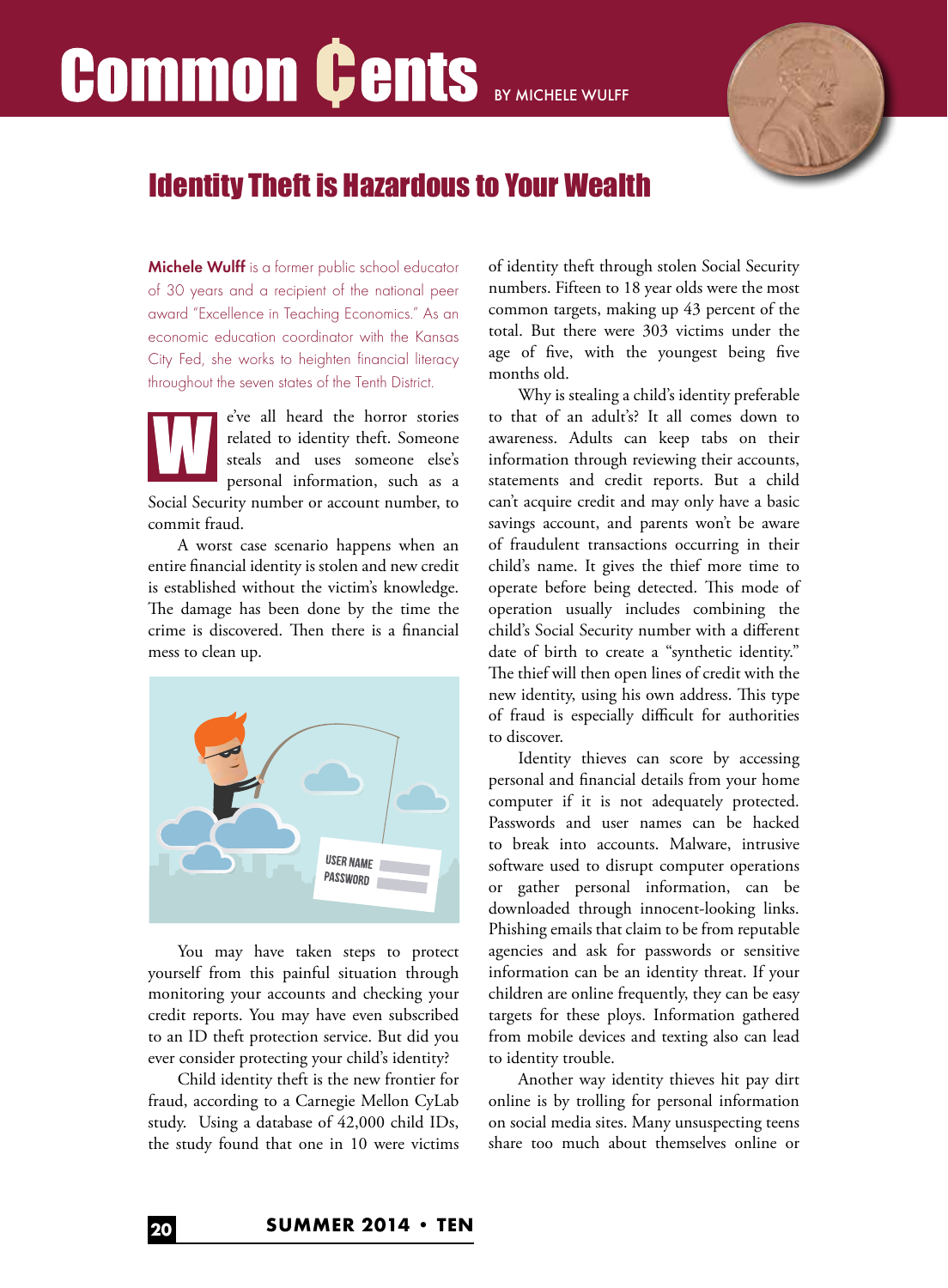# **Common Cents BY MICHELE WULFF**



### Identity Theft is Hazardous to Your Wealth

Michele Wulff is a former public school educator of 30 years and a recipient of the national peer award "Excellence in Teaching Economics." As an economic education coordinator with the Kansas City Fed, she works to heighten financial literacy throughout the seven states of the Tenth District.

e've all heard the horror stories related to identity theft. Someone steals and uses someone else's personal information, such as a Social Security number or account number, to commit fraud.

A worst case scenario happens when an entire financial identity is stolen and new credit is established without the victim's knowledge. The damage has been done by the time the crime is discovered. Then there is a financial mess to clean up.



You may have taken steps to protect yourself from this painful situation through monitoring your accounts and checking your credit reports. You may have even subscribed to an ID theft protection service. But did you ever consider protecting your child's identity?

Child identity theft is the new frontier for fraud, according to a Carnegie Mellon CyLab study. Using a database of 42,000 child IDs, the study found that one in 10 were victims of identity theft through stolen Social Security numbers. Fifteen to 18 year olds were the most common targets, making up 43 percent of the total. But there were 303 victims under the age of five, with the youngest being five months old.

Why is stealing a child's identity preferable to that of an adult's? It all comes down to awareness. Adults can keep tabs on their information through reviewing their accounts, statements and credit reports. But a child can't acquire credit and may only have a basic savings account, and parents won't be aware of fraudulent transactions occurring in their child's name. It gives the thief more time to operate before being detected. This mode of operation usually includes combining the child's Social Security number with a different date of birth to create a "synthetic identity." The thief will then open lines of credit with the new identity, using his own address. This type of fraud is especially difficult for authorities to discover.

Identity thieves can score by accessing personal and financial details from your home computer if it is not adequately protected. Passwords and user names can be hacked to break into accounts. Malware, intrusive software used to disrupt computer operations or gather personal information, can be downloaded through innocent-looking links. Phishing emails that claim to be from reputable agencies and ask for passwords or sensitive information can be an identity threat. If your children are online frequently, they can be easy targets for these ploys. Information gathered from mobile devices and texting also can lead to identity trouble.

Another way identity thieves hit pay dirt online is by trolling for personal information on social media sites. Many unsuspecting teens share too much about themselves online or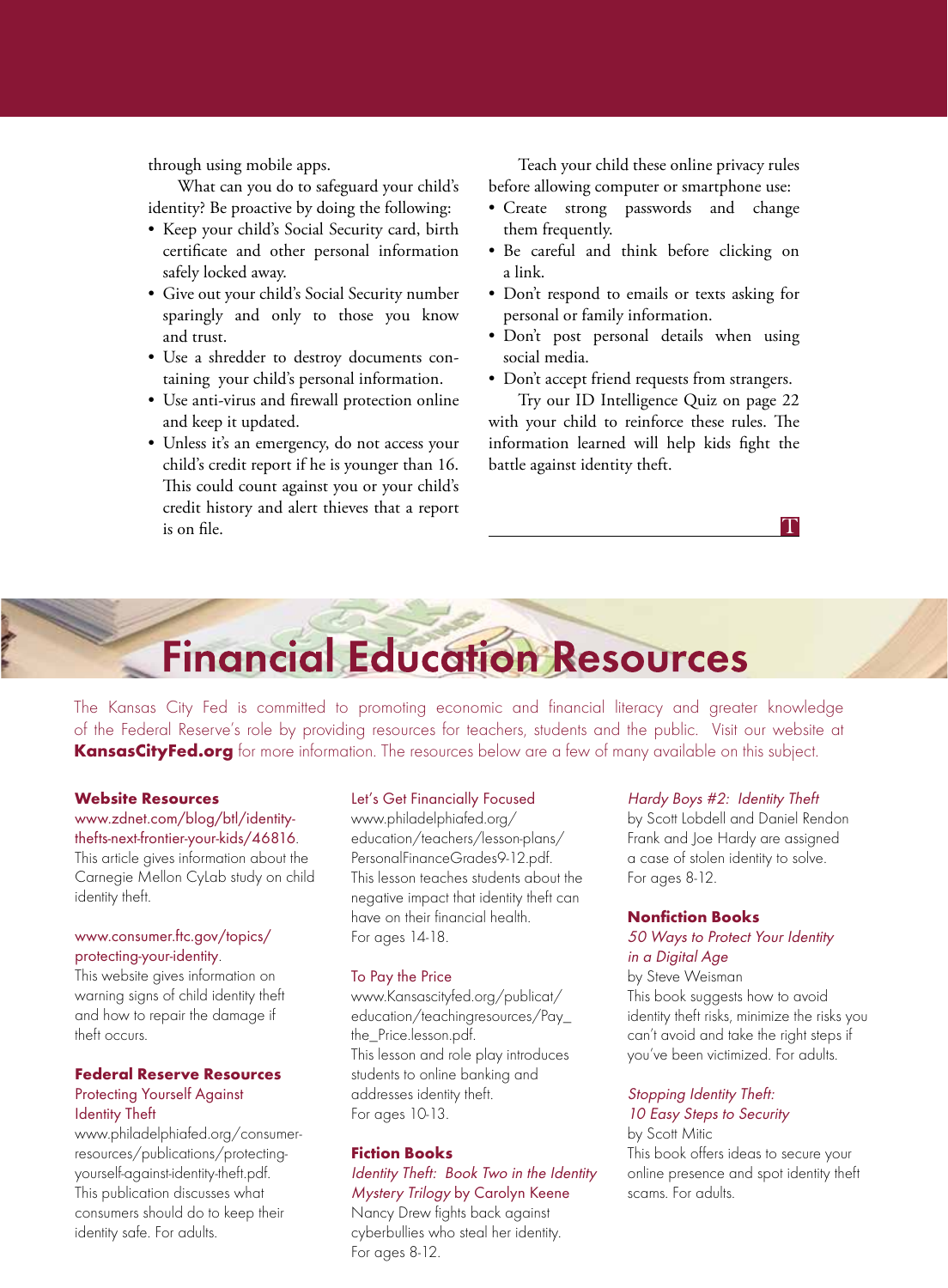through using mobile apps.

What can you do to safeguard your child's identity? Be proactive by doing the following:

- Keep your child's Social Security card, birth certificate and other personal information safely locked away.
- Give out your child's Social Security number sparingly and only to those you know and trust.
- Use a shredder to destroy documents containing your child's personal information.
- Use anti-virus and firewall protection online and keep it updated.
- Unless it's an emergency, do not access your child's credit report if he is younger than 16. This could count against you or your child's credit history and alert thieves that a report is on file.

Teach your child these online privacy rules before allowing computer or smartphone use:

- Create strong passwords and change them frequently.
- Be careful and think before clicking on a link.
- Don't respond to emails or texts asking for personal or family information.
- Don't post personal details when using social media.
- Don't accept friend requests from strangers.

Try our ID Intelligence Quiz on page 22 with your child to reinforce these rules. The information learned will help kids fight the battle against identity theft.

## **Financial Education Resources**

The Kansas City Fed is committed to promoting economic and financial literacy and greater knowledge of the Federal Reserve's role by providing resources for teachers, students and the public. Visit our website at **KansasCityFed.org** for more information. The resources below are a few of many available on this subject.

#### **Website Resources**

#### www.zdnet.com/blog/btl/identitythefts-next-frontier-your-kids/46816.

This article gives information about the Carnegie Mellon CyLab study on child identity theft.

#### www.consumer.ftc.gov/topics/ protecting-your-identity.

This website gives information on warning signs of child identity theft and how to repair the damage if theft occurs.

#### **Federal Reserve Resources** Protecting Yourself Against Identity Theft

www.philadelphiafed.org/consumerresources/publications/protectingyourself-against-identity-theft.pdf. This publication discusses what consumers should do to keep their identity safe. For adults.

#### Let's Get Financially Focused

www.philadelphiafed.org/ education/teachers/lesson-plans/ PersonalFinanceGrades9-12.pdf. This lesson teaches students about the negative impact that identity theft can have on their financial health. For ages 14-18.

#### To Pay the Price

www.Kansascityfed.org/publicat/ education/teachingresources/Pay\_ the\_Price.lesson.pdf. This lesson and role play introduces students to online banking and addresses identity theft. For ages 10-13.

#### **Fiction Books**

Identity Theft: Book Two in the Identity Mystery Trilogy by Carolyn Keene Nancy Drew fights back against cyberbullies who steal her identity. For ages 8-12.

#### Hardy Boys #2: Identity Theft

by Scott Lobdell and Daniel Rendon Frank and Joe Hardy are assigned a case of stolen identity to solve. For ages 8-12.

T

#### **Nonfiction Books**

#### 50 Ways to Protect Your Identity in a Digital Age

by Steve Weisman This book suggests how to avoid identity theft risks, minimize the risks you can't avoid and take the right steps if you've been victimized. For adults.

#### Stopping Identity Theft: 10 Easy Steps to Security

by Scott Mitic This book offers ideas to secure your online presence and spot identity theft scams. For adults.